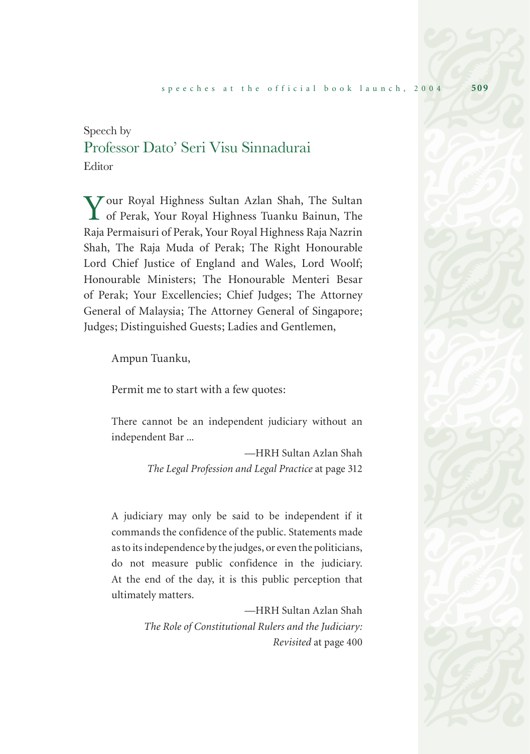## Speech by Professor Dato' Seri Visu Sinnadurai Editor

Your Royal Highness Sultan Azlan Shah, The Sultan of Perak, Your Royal Highness Tuanku Bainun, The Raja Permaisuri of Perak, Your Royal Highness Raja Nazrin Shah, The Raja Muda of Perak; The Right Honourable Lord Chief Justice of England and Wales, Lord Woolf; Honourable Ministers; The Honourable Menteri Besar of Perak; Your Excellencies; Chief Judges; The Attorney General of Malaysia; The Attorney General of Singapore; Judges; Distinguished Guests; Ladies and Gentlemen,

Ampun Tuanku,

Permit me to start with a few quotes:

There cannot be an independent judiciary without an independent Bar ...

> —HRH Sultan Azlan Shah *The Legal Profession and Legal Practice* at page 312

A judiciary may only be said to be independent if it commands the confidence of the public. Statements made as to its independence by the judges, or even the politicians, do not measure public confidence in the judiciary. At the end of the day, it is this public perception that ultimately matters.

> —HRH Sultan Azlan Shah *The Role of Constitutional Rulers and the Judiciary: Revisited* at page 400

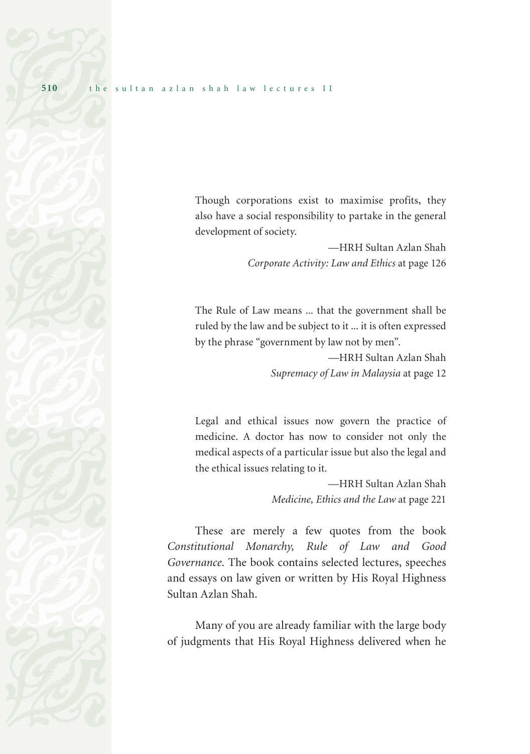Though corporations exist to maximise profits, they also have a social responsibility to partake in the general development of society.

> —HRH Sultan Azlan Shah *Corporate Activity: Law and Ethics* at page 126

The Rule of Law means ... that the government shall be ruled by the law and be subject to it ... it is often expressed by the phrase "government by law not by men".

> —HRH Sultan Azlan Shah *Supremacy of Law in Malaysia* at page 12

Legal and ethical issues now govern the practice of medicine. A doctor has now to consider not only the medical aspects of a particular issue but also the legal and the ethical issues relating to it.

> —HRH Sultan Azlan Shah *Medicine, Ethics and the Law* at page 221

These are merely a few quotes from the book *Constitutional Monarchy, Rule of Law and Good Governance*. The book contains selected lectures, speeches and essays on law given or written by His Royal Highness Sultan Azlan Shah.

Many of you are already familiar with the large body of judgments that His Royal Highness delivered when he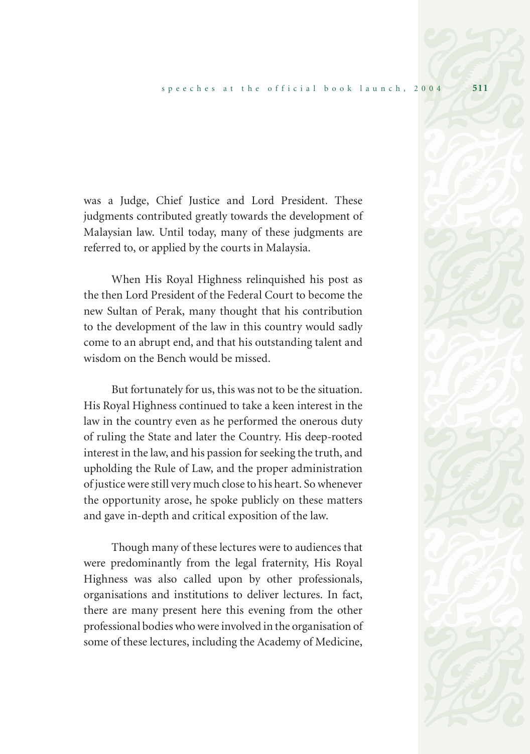was a Judge, Chief Justice and Lord President. These judgments contributed greatly towards the development of Malaysian law. Until today, many of these judgments are referred to, or applied by the courts in Malaysia.

When His Royal Highness relinquished his post as the then Lord President of the Federal Court to become the new Sultan of Perak, many thought that his contribution to the development of the law in this country would sadly come to an abrupt end, and that his outstanding talent and wisdom on the Bench would be missed.

But fortunately for us, this was not to be the situation. His Royal Highness continued to take a keen interest in the law in the country even as he performed the onerous duty of ruling the State and later the Country. His deep-rooted interest in the law, and his passion for seeking the truth, and upholding the Rule of Law, and the proper administration of justice were still very much close to his heart. So whenever the opportunity arose, he spoke publicly on these matters and gave in-depth and critical exposition of the law.

Though many of these lectures were to audiences that were predominantly from the legal fraternity, His Royal Highness was also called upon by other professionals, organisations and institutions to deliver lectures. In fact, there are many present here this evening from the other professional bodies who were involved in the organisation of some of these lectures, including the Academy of Medicine,

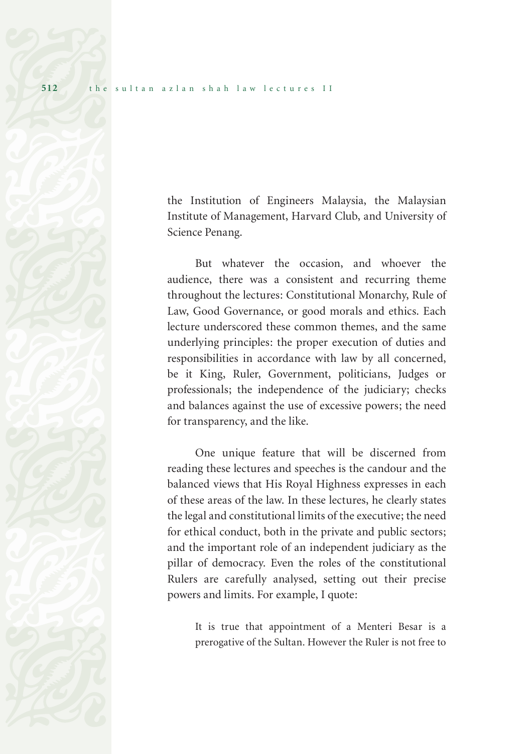the Institution of Engineers Malaysia, the Malaysian Institute of Management, Harvard Club, and University of Science Penang.

But whatever the occasion, and whoever the audience, there was a consistent and recurring theme throughout the lectures: Constitutional Monarchy, Rule of Law, Good Governance, or good morals and ethics. Each lecture underscored these common themes, and the same underlying principles: the proper execution of duties and responsibilities in accordance with law by all concerned, be it King, Ruler, Government, politicians, Judges or professionals; the independence of the judiciary; checks and balances against the use of excessive powers; the need for transparency, and the like.

One unique feature that will be discerned from reading these lectures and speeches is the candour and the balanced views that His Royal Highness expresses in each of these areas of the law. In these lectures, he clearly states the legal and constitutional limits of the executive; the need for ethical conduct, both in the private and public sectors; and the important role of an independent judiciary as the pillar of democracy. Even the roles of the constitutional Rulers are carefully analysed, setting out their precise powers and limits. For example, I quote:

It is true that appointment of a Menteri Besar is a prerogative of the Sultan. However the Ruler is not free to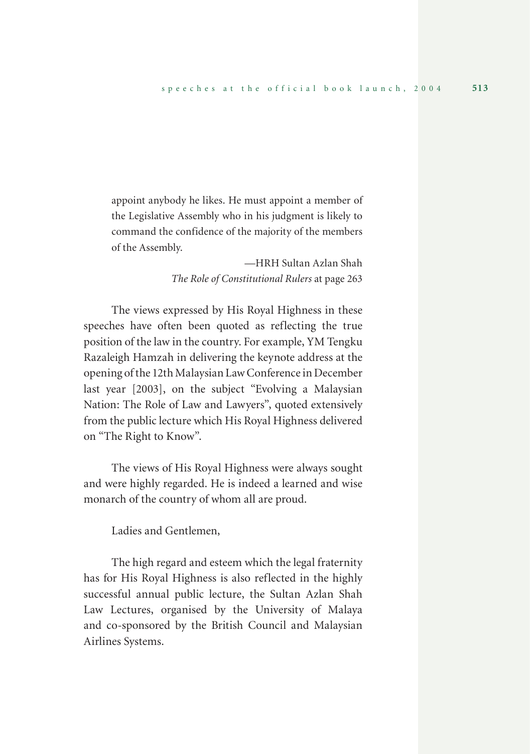appoint anybody he likes. He must appoint a member of the Legislative Assembly who in his judgment is likely to command the confidence of the majority of the members of the Assembly.

> —HRH Sultan Azlan Shah *The Role of Constitutional Rulers* at page 263

The views expressed by His Royal Highness in these speeches have often been quoted as reflecting the true position of the law in the country. For example, YM Tengku Razaleigh Hamzah in delivering the keynote address at the opening of the 12th Malaysian Law Conference in December last year [2003], on the subject "Evolving a Malaysian Nation: The Role of Law and Lawyers", quoted extensively from the public lecture which His Royal Highness delivered on "The Right to Know".

The views of His Royal Highness were always sought and were highly regarded. He is indeed a learned and wise monarch of the country of whom all are proud.

Ladies and Gentlemen,

The high regard and esteem which the legal fraternity has for His Royal Highness is also reflected in the highly successful annual public lecture, the Sultan Azlan Shah Law Lectures, organised by the University of Malaya and co-sponsored by the British Council and Malaysian Airlines Systems.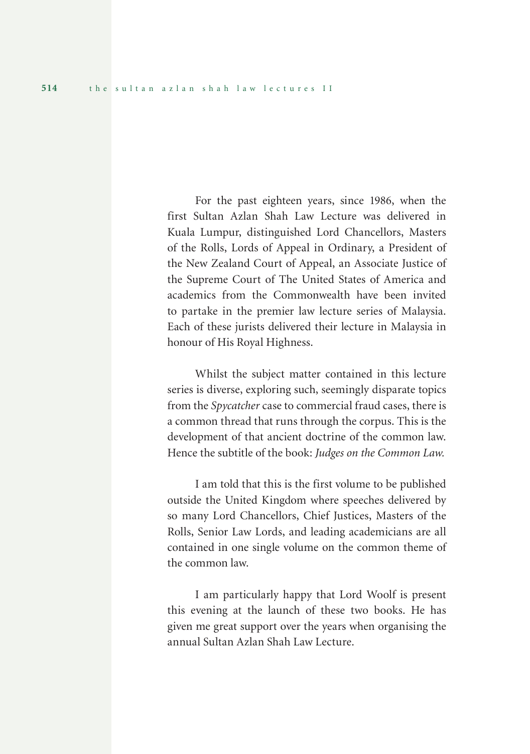For the past eighteen years, since 1986, when the first Sultan Azlan Shah Law Lecture was delivered in Kuala Lumpur, distinguished Lord Chancellors, Masters of the Rolls, Lords of Appeal in Ordinary, a President of the New Zealand Court of Appeal, an Associate Justice of the Supreme Court of The United States of America and academics from the Commonwealth have been invited to partake in the premier law lecture series of Malaysia. Each of these jurists delivered their lecture in Malaysia in honour of His Royal Highness.

Whilst the subject matter contained in this lecture series is diverse, exploring such, seemingly disparate topics from the *Spycatcher* case to commercial fraud cases, there is a common thread that runs through the corpus. This is the development of that ancient doctrine of the common law. Hence the subtitle of the book: *Judges on the Common Law.*

I am told that this is the first volume to be published outside the United Kingdom where speeches delivered by so many Lord Chancellors, Chief Justices, Masters of the Rolls, Senior Law Lords, and leading academicians are all contained in one single volume on the common theme of the common law.

I am particularly happy that Lord Woolf is present this evening at the launch of these two books. He has given me great support over the years when organising the annual Sultan Azlan Shah Law Lecture.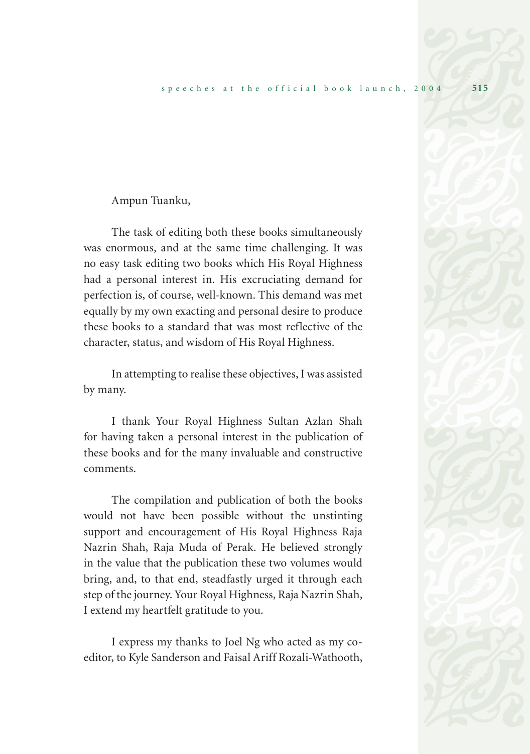## Ampun Tuanku,

The task of editing both these books simultaneously was enormous, and at the same time challenging. It was no easy task editing two books which His Royal Highness had a personal interest in. His excruciating demand for perfection is, of course, well-known. This demand was met equally by my own exacting and personal desire to produce these books to a standard that was most reflective of the character, status, and wisdom of His Royal Highness.

In attempting to realise these objectives, I was assisted by many.

I thank Your Royal Highness Sultan Azlan Shah for having taken a personal interest in the publication of these books and for the many invaluable and constructive comments.

The compilation and publication of both the books would not have been possible without the unstinting support and encouragement of His Royal Highness Raja Nazrin Shah, Raja Muda of Perak. He believed strongly in the value that the publication these two volumes would bring, and, to that end, steadfastly urged it through each step of the journey. Your Royal Highness, Raja Nazrin Shah, I extend my heartfelt gratitude to you.

I express my thanks to Joel Ng who acted as my coeditor, to Kyle Sanderson and Faisal Ariff Rozali-Wathooth,